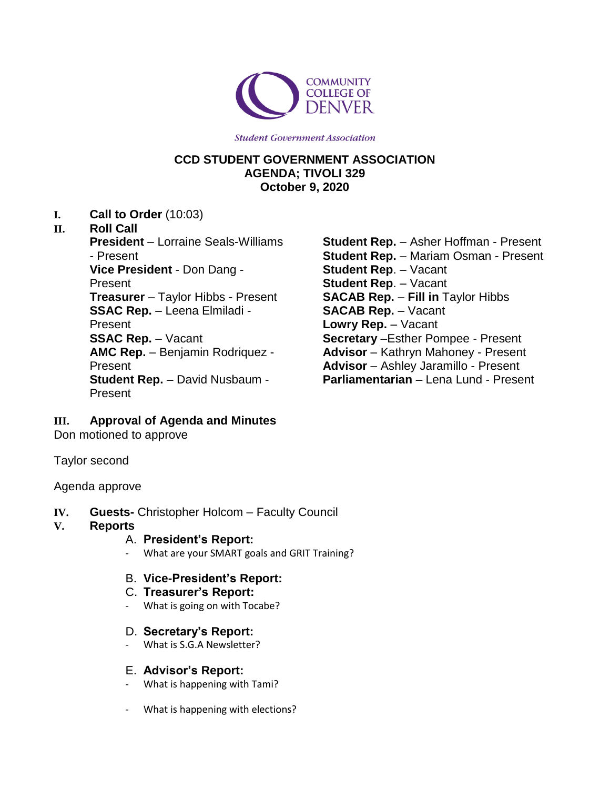

**Student Government Association** 

# **CCD STUDENT GOVERNMENT ASSOCIATION AGENDA; TIVOLI 329 October 9, 2020**

**I. Call to Order** (10:03)

#### **II. Roll Call**

**President** – Lorraine Seals-Williams - Present **Vice President** - Don Dang - Present **Treasurer** – Taylor Hibbs - Present **SSAC Rep.** – Leena Elmiladi - Present **SSAC Rep.** – Vacant **AMC Rep.** – Benjamin Rodriquez - Present **Student Rep.** – David Nusbaum - Present

**Student Rep.** – Asher Hoffman - Present **Student Rep.** – Mariam Osman - Present **Student Rep**. – Vacant **Student Rep**. – Vacant **SACAB Rep.** – **Fill in** Taylor Hibbs **SACAB Rep.** – Vacant **Lowry Rep.** – Vacant **Secretary** –Esther Pompee - Present **Advisor** – Kathryn Mahoney - Present **Advisor** – Ashley Jaramillo - Present **Parliamentarian** – Lena Lund - Present

# **III. Approval of Agenda and Minutes**

Don motioned to approve

Taylor second

#### Agenda approve

- **IV. Guests-** Christopher Holcom Faculty Council
- **V. Reports**
	- A. **President's Report:**
	- What are your SMART goals and GRIT Training?
	- B. **Vice-President's Report:**

# C. **Treasurer's Report:**

- What is going on with Tocabe?
- D. **Secretary's Report:**
- What is S.G.A Newsletter?

# E. **Advisor's Report:**

- What is happening with Tami?
- What is happening with elections?